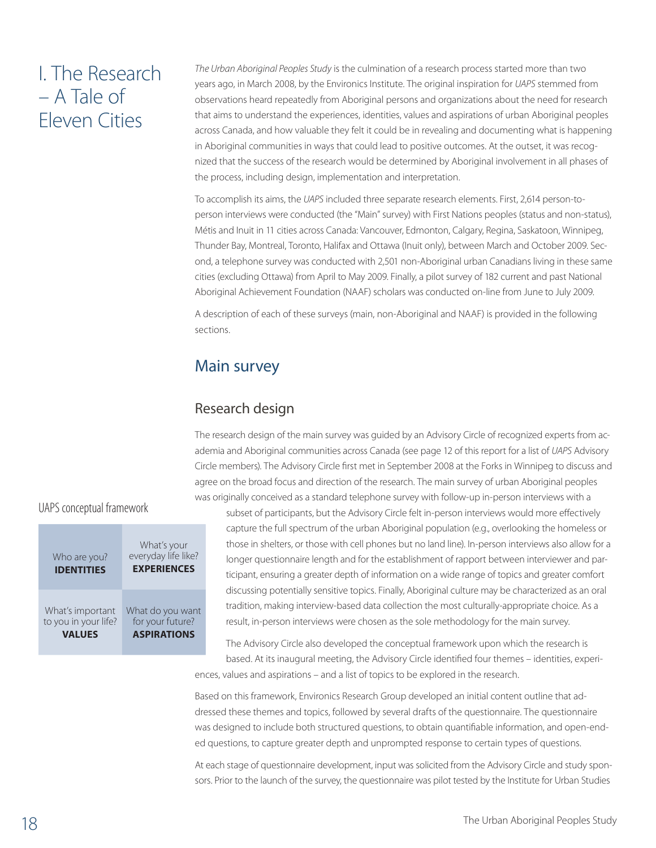# I. The Research – A Tale of Eleven Cities

*The Urban Aboriginal Peoples Study* is the culmination of a research process started more than two years ago, in March 2008, by the Environics Institute. The original inspiration for *UAPS* stemmed from observations heard repeatedly from Aboriginal persons and organizations about the need for research that aims to understand the experiences, identities, values and aspirations of urban Aboriginal peoples across Canada, and how valuable they felt it could be in revealing and documenting what is happening in Aboriginal communities in ways that could lead to positive outcomes. At the outset, it was recognized that the success of the research would be determined by Aboriginal involvement in all phases of the process, including design, implementation and interpretation.

To accomplish its aims, the *UAPS* included three separate research elements. First, 2,614 person-toperson interviews were conducted (the "Main" survey) with First Nations peoples (status and non-status), Métis and Inuit in 11 cities across Canada: Vancouver, Edmonton, Calgary, Regina, Saskatoon, Winnipeg, Thunder Bay, Montreal, Toronto, Halifax and Ottawa (Inuit only), between March and October 2009. Second, a telephone survey was conducted with 2,501 non-Aboriginal urban Canadians living in these same cities (excluding Ottawa) from April to May 2009. Finally, a pilot survey of 182 current and past National Aboriginal Achievement Foundation (NAAF) scholars was conducted on-line from June to July 2009.

A description of each of these surveys (main, non-Aboriginal and NAAF) is provided in the following sections.

# Main survey

#### Research design

The research design of the main survey was guided by an Advisory Circle of recognized experts from academia and Aboriginal communities across Canada (see page 12 of this report for a list of *UAPS* Advisory Circle members). The Advisory Circle first met in September 2008 at the Forks in Winnipeg to discuss and agree on the broad focus and direction of the research. The main survey of urban Aboriginal peoples was originally conceived as a standard telephone survey with follow-up in-person interviews with a

UAPS conceptual framework

| Who are you?<br><b>IDENTITIES</b> | What's your<br>everyday life like?<br><b>EXPERIENCES</b> |
|-----------------------------------|----------------------------------------------------------|
| What's important                  | What do you want                                         |
| to you in your life?              | for your future?                                         |
| <b>VALUES</b>                     | <b>ASPIRATIONS</b>                                       |

subset of participants, but the Advisory Circle felt in-person interviews would more effectively capture the full spectrum of the urban Aboriginal population (e.g., overlooking the homeless or those in shelters, or those with cell phones but no land line). In-person interviews also allow for a longer questionnaire length and for the establishment of rapport between interviewer and participant, ensuring a greater depth of information on a wide range of topics and greater comfort discussing potentially sensitive topics. Finally, Aboriginal culture may be characterized as an oral tradition, making interview-based data collection the most culturally-appropriate choice. As a result, in-person interviews were chosen as the sole methodology for the main survey.

The Advisory Circle also developed the conceptual framework upon which the research is based. At its inaugural meeting, the Advisory Circle identified four themes – identities, experi-

ences, values and aspirations – and a list of topics to be explored in the research.

Based on this framework, Environics Research Group developed an initial content outline that addressed these themes and topics, followed by several drafts of the questionnaire. The questionnaire was designed to include both structured questions, to obtain quantifiable information, and open-ended questions, to capture greater depth and unprompted response to certain types of questions.

At each stage of questionnaire development, input was solicited from the Advisory Circle and study sponsors. Prior to the launch of the survey, the questionnaire was pilot tested by the Institute for Urban Studies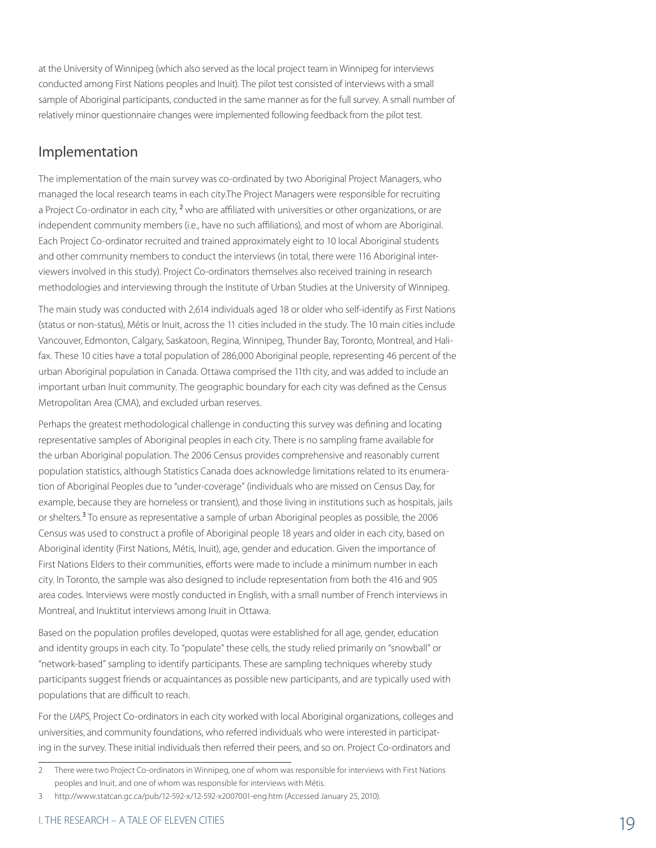at the University of Winnipeg (which also served as the local project team in Winnipeg for interviews conducted among First Nations peoples and Inuit). The pilot test consisted of interviews with a small sample of Aboriginal participants, conducted in the same manner as for the full survey. A small number of relatively minor questionnaire changes were implemented following feedback from the pilot test.

#### Implementation

The implementation of the main survey was co-ordinated by two Aboriginal Project Managers, who managed the local research teams in each city.The Project Managers were responsible for recruiting a Project Co-ordinator in each city, <sup>2</sup> who are affiliated with universities or other organizations, or are independent community members (i.e., have no such affiliations), and most of whom are Aboriginal. Each Project Co-ordinator recruited and trained approximately eight to 10 local Aboriginal students and other community members to conduct the interviews (in total, there were 116 Aboriginal interviewers involved in this study). Project Co-ordinators themselves also received training in research methodologies and interviewing through the Institute of Urban Studies at the University of Winnipeg.

The main study was conducted with 2,614 individuals aged 18 or older who self-identify as First Nations (status or non-status), Métis or Inuit, across the 11 cities included in the study. The 10 main cities include Vancouver, Edmonton, Calgary, Saskatoon, Regina, Winnipeg, Thunder Bay, Toronto, Montreal, and Halifax. These 10 cities have a total population of 286,000 Aboriginal people, representing 46 percent of the urban Aboriginal population in Canada. Ottawa comprised the 11th city, and was added to include an important urban Inuit community. The geographic boundary for each city was defined as the Census Metropolitan Area (CMA), and excluded urban reserves.

Perhaps the greatest methodological challenge in conducting this survey was defining and locating representative samples of Aboriginal peoples in each city. There is no sampling frame available for the urban Aboriginal population. The 2006 Census provides comprehensive and reasonably current population statistics, although Statistics Canada does acknowledge limitations related to its enumeration of Aboriginal Peoples due to "under-coverage" (individuals who are missed on Census Day, for example, because they are homeless or transient), and those living in institutions such as hospitals, jails or shelters.<sup>3</sup> To ensure as representative a sample of urban Aboriginal peoples as possible, the 2006 Census was used to construct a profile of Aboriginal people 18 years and older in each city, based on Aboriginal identity (First Nations, Métis, Inuit), age, gender and education. Given the importance of First Nations Elders to their communities, efforts were made to include a minimum number in each city. In Toronto, the sample was also designed to include representation from both the 416 and 905 area codes. Interviews were mostly conducted in English, with a small number of French interviews in Montreal, and Inuktitut interviews among Inuit in Ottawa.

Based on the population profiles developed, quotas were established for all age, gender, education and identity groups in each city. To "populate" these cells, the study relied primarily on "snowball" or "network-based" sampling to identify participants. These are sampling techniques whereby study participants suggest friends or acquaintances as possible new participants, and are typically used with populations that are difficult to reach.

For the *UAPS*, Project Co-ordinators in each city worked with local Aboriginal organizations, colleges and universities, and community foundations, who referred individuals who were interested in participating in the survey. These initial individuals then referred their peers, and so on. Project Co-ordinators and

<sup>2</sup> There were two Project Co-ordinators in Winnipeg, one of whom was responsible for interviews with First Nations peoples and Inuit, and one of whom was responsible for interviews with Métis.

<sup>3</sup> http://www.statcan.gc.ca/pub/12-592-x/12-592-x2007001-eng.htm (Accessed January 25, 2010).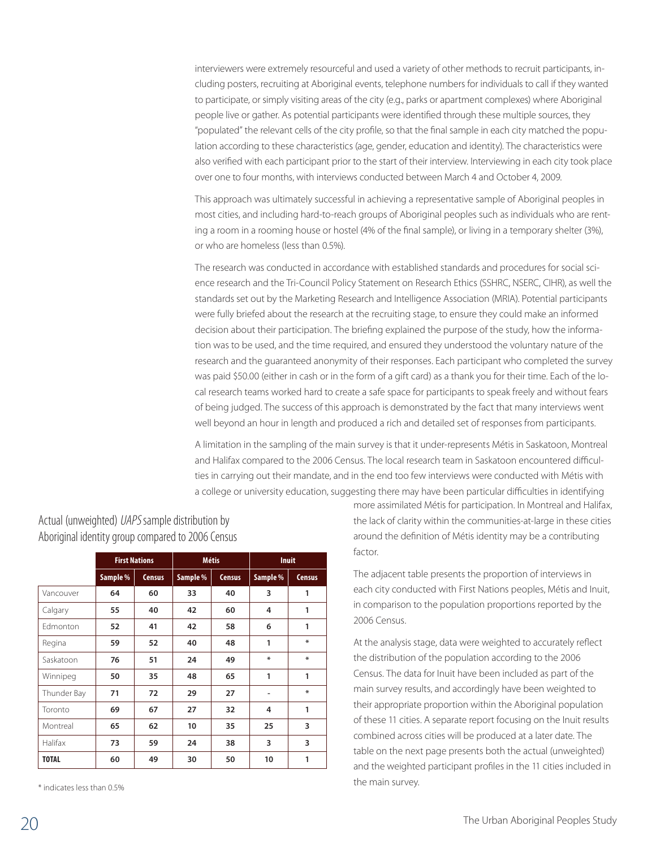interviewers were extremely resourceful and used a variety of other methods to recruit participants, including posters, recruiting at Aboriginal events, telephone numbers for individuals to call if they wanted to participate, or simply visiting areas of the city (e.g., parks or apartment complexes) where Aboriginal people live or gather. As potential participants were identified through these multiple sources, they "populated" the relevant cells of the city profile, so that the final sample in each city matched the population according to these characteristics (age, gender, education and identity). The characteristics were also verified with each participant prior to the start of their interview. Interviewing in each city took place over one to four months, with interviews conducted between March 4 and October 4, 2009.

This approach was ultimately successful in achieving a representative sample of Aboriginal peoples in most cities, and including hard-to-reach groups of Aboriginal peoples such as individuals who are renting a room in a rooming house or hostel (4% of the final sample), or living in a temporary shelter (3%), or who are homeless (less than 0.5%).

The research was conducted in accordance with established standards and procedures for social science research and the Tri-Council Policy Statement on Research Ethics (SSHRC, NSERC, CIHR), as well the standards set out by the Marketing Research and Intelligence Association (MRIA). Potential participants were fully briefed about the research at the recruiting stage, to ensure they could make an informed decision about their participation. The briefing explained the purpose of the study, how the information was to be used, and the time required, and ensured they understood the voluntary nature of the research and the guaranteed anonymity of their responses. Each participant who completed the survey was paid \$50.00 (either in cash or in the form of a gift card) as a thank you for their time. Each of the local research teams worked hard to create a safe space for participants to speak freely and without fears of being judged. The success of this approach is demonstrated by the fact that many interviews went well beyond an hour in length and produced a rich and detailed set of responses from participants.

A limitation in the sampling of the main survey is that it under-represents Métis in Saskatoon, Montreal and Halifax compared to the 2006 Census. The local research team in Saskatoon encountered difficulties in carrying out their mandate, and in the end too few interviews were conducted with Métis with a college or university education, suggesting there may have been particular difficulties in identifying

|              |          | <b>First Nations</b><br><b>Métis</b> |          |               | <b>Inuit</b> |               |
|--------------|----------|--------------------------------------|----------|---------------|--------------|---------------|
|              | Sample % | <b>Census</b>                        | Sample % | <b>Census</b> | Sample %     | <b>Census</b> |
| Vancouver    | 64       | 60                                   | 33       | 40            | 3            | 1             |
| Calgary      | 55       | 40                                   | 42       | 60            | 4            | 1             |
| Fdmonton     | 52       | 41                                   | 42       | 58            | 6            | 1             |
| Regina       | 59       | 52                                   | 40       | 48            | 1            | $\ast$        |
| Saskatoon    | 76       | 51                                   | 24       | 49            | ∗            | $\ast$        |
| Winnipeg     | 50       | 35                                   | 48       | 65            | 1            | 1             |
| Thunder Bay  | 71       | 72                                   | 29       | 27            |              | $\ast$        |
| Toronto      | 69       | 67                                   | 27       | 32            | 4            | 1             |
| Montreal     | 65       | 62                                   | 10       | 35            | 25           | 3             |
| Halifax      | 73       | 59                                   | 24       | 38            | 3            | 3             |
| <b>TOTAL</b> | 60       | 49                                   | 30       | 50            | 10           | 1             |

Actual (unweighted) UAPS sample distribution by Aboriginal identity group compared to 2006 Census

\* indicates less than 0.5%

more assimilated Métis for participation. In Montreal and Halifax, the lack of clarity within the communities-at-large in these cities around the definition of Métis identity may be a contributing factor.

The adjacent table presents the proportion of interviews in each city conducted with First Nations peoples, Métis and Inuit, in comparison to the population proportions reported by the 2006 Census.

At the analysis stage, data were weighted to accurately reflect the distribution of the population according to the 2006 Census. The data for Inuit have been included as part of the main survey results, and accordingly have been weighted to their appropriate proportion within the Aboriginal population of these 11 cities. A separate report focusing on the Inuit results combined across cities will be produced at a later date. The table on the next page presents both the actual (unweighted) and the weighted participant profiles in the 11 cities included in the main survey.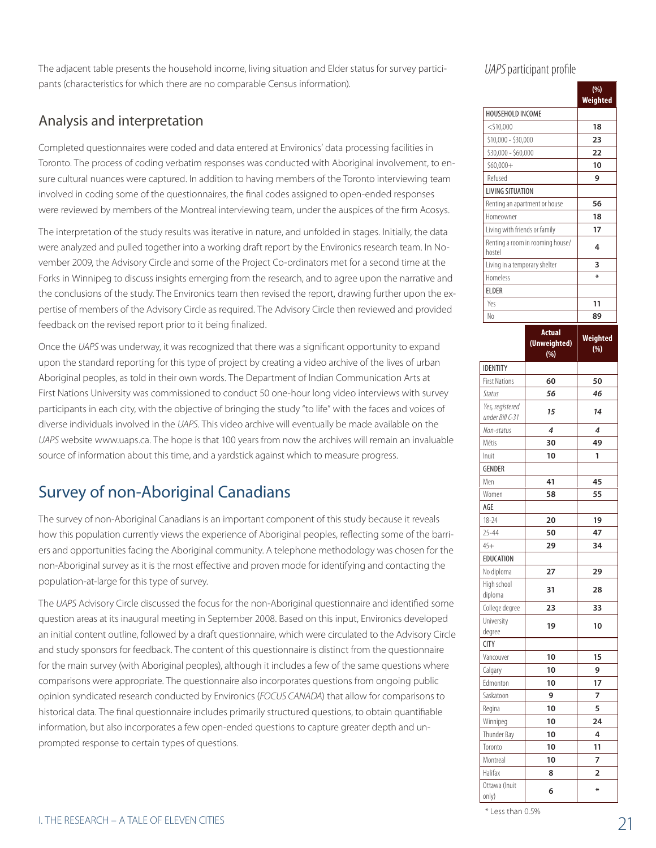The adjacent table presents the household income, living situation and Elder status for survey participants (characteristics for which there are no comparable Census information).

#### Analysis and interpretation

Completed questionnaires were coded and data entered at Environics' data processing facilities in Toronto. The process of coding verbatim responses was conducted with Aboriginal involvement, to ensure cultural nuances were captured. In addition to having members of the Toronto interviewing team involved in coding some of the questionnaires, the final codes assigned to open-ended responses were reviewed by members of the Montreal interviewing team, under the auspices of the firm Acosys.

The interpretation of the study results was iterative in nature, and unfolded in stages. Initially, the data were analyzed and pulled together into a working draft report by the Environics research team. In November 2009, the Advisory Circle and some of the Project Co-ordinators met for a second time at the Forks in Winnipeg to discuss insights emerging from the research, and to agree upon the narrative and the conclusions of the study. The Environics team then revised the report, drawing further upon the expertise of members of the Advisory Circle as required. The Advisory Circle then reviewed and provided feedback on the revised report prior to it being finalized.

Once the *UAPS* was underway, it was recognized that there was a significant opportunity to expand upon the standard reporting for this type of project by creating a video archive of the lives of urban Aboriginal peoples, as told in their own words. The Department of Indian Communication Arts at First Nations University was commissioned to conduct 50 one-hour long video interviews with survey participants in each city, with the objective of bringing the study "to life" with the faces and voices of diverse individuals involved in the *UAPS*. This video archive will eventually be made available on the *UAPS* website www.uaps.ca. The hope is that 100 years from now the archives will remain an invaluable source of information about this time, and a yardstick against which to measure progress.

# Survey of non-Aboriginal Canadians

The survey of non-Aboriginal Canadians is an important component of this study because it reveals how this population currently views the experience of Aboriginal peoples, reflecting some of the barriers and opportunities facing the Aboriginal community. A telephone methodology was chosen for the non-Aboriginal survey as it is the most effective and proven mode for identifying and contacting the population-at-large for this type of survey.

The *UAPS* Advisory Circle discussed the focus for the non-Aboriginal questionnaire and identified some question areas at its inaugural meeting in September 2008. Based on this input, Environics developed an initial content outline, followed by a draft questionnaire, which were circulated to the Advisory Circle and study sponsors for feedback. The content of this questionnaire is distinct from the questionnaire for the main survey (with Aboriginal peoples), although it includes a few of the same questions where comparisons were appropriate. The questionnaire also incorporates questions from ongoing public opinion syndicated research conducted by Environics (*FOCUS CANADA*) that allow for comparisons to historical data. The final questionnaire includes primarily structured questions, to obtain quantifiable information, but also incorporates a few open-ended questions to capture greater depth and unprompted response to certain types of questions.

UAPS participant profile

|                                    |                                      | (%)             |
|------------------------------------|--------------------------------------|-----------------|
|                                    |                                      | Weighted        |
| HOUSEHOLD INCOME                   |                                      |                 |
| $<$ \$10,000                       |                                      | 18              |
| \$10,000 - \$30,000                |                                      | 23              |
| \$30,000 - \$60,000                |                                      | 22              |
| $$60,000+$                         |                                      | 10              |
| Refused                            |                                      | 9               |
| <b>LIVING SITUATION</b>            |                                      |                 |
| Renting an apartment or house      |                                      | 56              |
| Homeowner                          |                                      | 18              |
| Living with friends or family      |                                      | 17              |
| hostel                             | Renting a room in rooming house/     | 4               |
| Living in a temporary shelter      |                                      | 3               |
| Homeless                           |                                      | ∗               |
| <b>ELDER</b>                       |                                      |                 |
| Yes                                |                                      | 11              |
| N <sub>0</sub>                     |                                      | 89              |
|                                    |                                      |                 |
|                                    | <b>Actual</b><br>(Unweighted)<br>(%) | Weighted<br>(%) |
| <b>IDENTITY</b>                    |                                      |                 |
| <b>First Nations</b>               | 60                                   | 50              |
| Status                             | 56                                   | 46              |
| Yes, registered<br>under Bill C-31 | 15                                   | 14              |
| Non-status                         | 4                                    | 4               |
| Métis                              | 30                                   | 49              |
| Inuit                              | 10                                   | 1               |
| <b>GENDER</b>                      |                                      |                 |
| Men                                | 41                                   | 45              |
| Women                              | 58                                   | 55              |
| AGE                                |                                      |                 |
| $18 - 24$                          | 20                                   | 19              |
| $25 - 44$                          | 50                                   | 47              |
| $45+$                              | 29                                   | 34              |
| EDUCATION                          |                                      |                 |
| No diploma                         | 27                                   | 29              |
| High school                        | 31                                   | 28              |
| diploma                            |                                      |                 |
| College degree                     |                                      |                 |
|                                    | 23                                   | 33              |
| University                         | 19                                   | 10              |
| degree                             |                                      |                 |
| <b>CITY</b>                        |                                      |                 |
| Vancouver                          | 10                                   | 15              |
| Calgary                            | 10                                   | 9               |
| Edmonton                           | 10                                   | 17              |
| Saskatoon                          | 9                                    | 7               |
| Regina                             | 10                                   | 5               |
| Winnipeg                           | 10                                   | 24              |
| Thunder Bay                        | 10                                   | 4               |
| Toronto                            | 10                                   | 11              |
| Montreal                           | 10                                   | 7               |
| Halifax<br>Ottawa (Inuit           | 8                                    | 2               |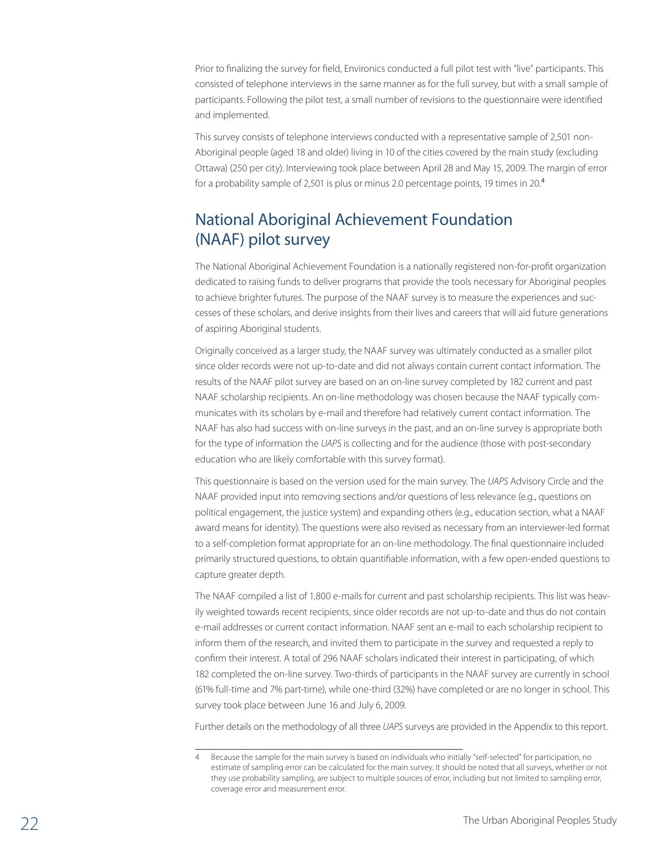Prior to finalizing the survey for field, Environics conducted a full pilot test with "live" participants. This consisted of telephone interviews in the same manner as for the full survey, but with a small sample of participants. Following the pilot test, a small number of revisions to the questionnaire were identified and implemented.

This survey consists of telephone interviews conducted with a representative sample of 2,501 non-Aboriginal people (aged 18 and older) living in 10 of the cities covered by the main study (excluding Ottawa) (250 per city). Interviewing took place between April 28 and May 15, 2009. The margin of error for a probability sample of 2,501 is plus or minus 2.0 percentage points, 19 times in 20.<sup>4</sup>

# National Aboriginal Achievement Foundation (NAAF) pilot survey

The National Aboriginal Achievement Foundation is a nationally registered non-for-profit organization dedicated to raising funds to deliver programs that provide the tools necessary for Aboriginal peoples to achieve brighter futures. The purpose of the NAAF survey is to measure the experiences and successes of these scholars, and derive insights from their lives and careers that will aid future generations of aspiring Aboriginal students.

Originally conceived as a larger study, the NAAF survey was ultimately conducted as a smaller pilot since older records were not up-to-date and did not always contain current contact information. The results of the NAAF pilot survey are based on an on-line survey completed by 182 current and past NAAF scholarship recipients. An on-line methodology was chosen because the NAAF typically communicates with its scholars by e-mail and therefore had relatively current contact information. The NAAF has also had success with on-line surveys in the past, and an on-line survey is appropriate both for the type of information the *UAPS* is collecting and for the audience (those with post-secondary education who are likely comfortable with this survey format).

This questionnaire is based on the version used for the main survey. The *UAPS* Advisory Circle and the NAAF provided input into removing sections and/or questions of less relevance (e.g., questions on political engagement, the justice system) and expanding others (e.g., education section, what a NAAF award means for identity). The questions were also revised as necessary from an interviewer-led format to a self-completion format appropriate for an on-line methodology. The final questionnaire included primarily structured questions, to obtain quantifiable information, with a few open-ended questions to capture greater depth.

The NAAF compiled a list of 1,800 e-mails for current and past scholarship recipients. This list was heavily weighted towards recent recipients, since older records are not up-to-date and thus do not contain e-mail addresses or current contact information. NAAF sent an e-mail to each scholarship recipient to inform them of the research, and invited them to participate in the survey and requested a reply to confirm their interest. A total of 296 NAAF scholars indicated their interest in participating, of which 182 completed the on-line survey. Two-thirds of participants in the NAAF survey are currently in school (61% full-time and 7% part-time), while one-third (32%) have completed or are no longer in school. This survey took place between June 16 and July 6, 2009.

Further details on the methodology of all three *UAPS* surveys are provided in the Appendix to this report.

Because the sample for the main survey is based on individuals who initially "self-selected" for participation, no estimate of sampling error can be calculated for the main survey. It should be noted that all surveys, whether or not they use probability sampling, are subject to multiple sources of error, including but not limited to sampling error, coverage error and measurement error.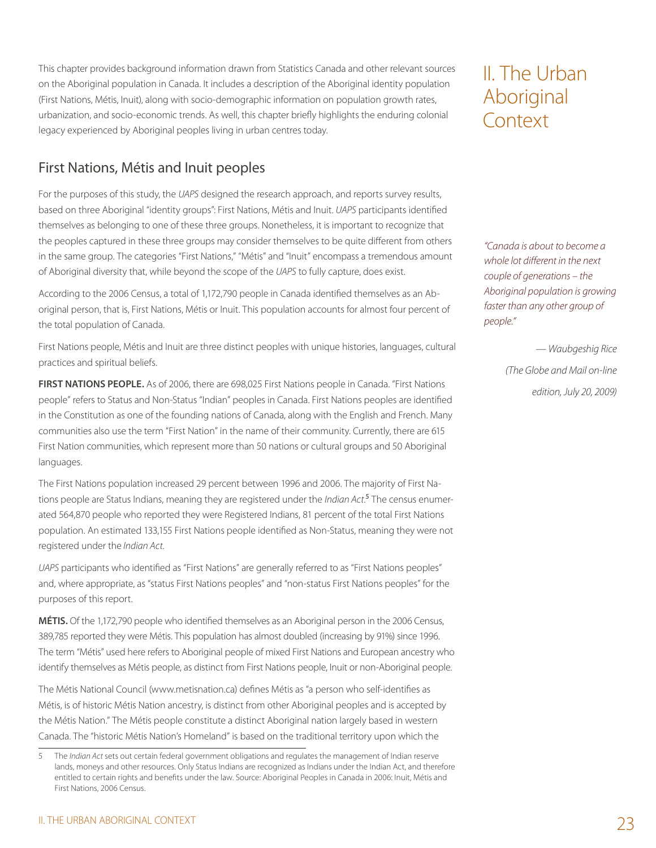This chapter provides background information drawn from Statistics Canada and other relevant sources on the Aboriginal population in Canada. It includes a description of the Aboriginal identity population (First Nations, Métis, Inuit), along with socio-demographic information on population growth rates, urbanization, and socio-economic trends. As well, this chapter briefly highlights the enduring colonial legacy experienced by Aboriginal peoples living in urban centres today.

# II. The Urban Aboriginal **Context**

### First Nations, Métis and Inuit peoples

For the purposes of this study, the *UAPS* designed the research approach, and reports survey results, based on three Aboriginal "identity groups": First Nations, Métis and Inuit. *UAPS* participants identified themselves as belonging to one of these three groups. Nonetheless, it is important to recognize that the peoples captured in these three groups may consider themselves to be quite different from others in the same group. The categories "First Nations," "Métis" and "Inuit" encompass a tremendous amount of Aboriginal diversity that, while beyond the scope of the *UAPS* to fully capture, does exist.

According to the 2006 Census, a total of 1,172,790 people in Canada identified themselves as an Aboriginal person, that is, First Nations, Métis or Inuit. This population accounts for almost four percent of the total population of Canada.

First Nations people, Métis and Inuit are three distinct peoples with unique histories, languages, cultural practices and spiritual beliefs.

**First Nations people.** As of 2006, there are 698,025 First Nations people in Canada. "First Nations people" refers to Status and Non-Status "Indian" peoples in Canada. First Nations peoples are identified in the Constitution as one of the founding nations of Canada, along with the English and French. Many communities also use the term "First Nation" in the name of their community. Currently, there are 615 First Nation communities, which represent more than 50 nations or cultural groups and 50 Aboriginal languages.

The First Nations population increased 29 percent between 1996 and 2006. The majority of First Nations people are Status Indians, meaning they are registered under the *Indian Act*. 5 The census enumerated 564,870 people who reported they were Registered Indians, 81 percent of the total First Nations population. An estimated 133,155 First Nations people identified as Non-Status, meaning they were not registered under the *Indian Act*.

*UAPS* participants who identified as "First Nations" are generally referred to as "First Nations peoples" and, where appropriate, as "status First Nations peoples" and "non-status First Nations peoples" for the purposes of this report.

**Métis.** Of the 1,172,790 people who identified themselves as an Aboriginal person in the 2006 Census, 389,785 reported they were Métis. This population has almost doubled (increasing by 91%) since 1996. The term "Métis" used here refers to Aboriginal people of mixed First Nations and European ancestry who identify themselves as Métis people, as distinct from First Nations people, Inuit or non-Aboriginal people.

The Métis National Council (www.metisnation.ca) defines Métis as "a person who self-identifies as Métis, is of historic Métis Nation ancestry, is distinct from other Aboriginal peoples and is accepted by the Métis Nation." The Métis people constitute a distinct Aboriginal nation largely based in western Canada. The "historic Métis Nation's Homeland" is based on the traditional territory upon which the

*"Canada is about to become a whole lot different in the next couple of generations – the Aboriginal population is growing faster than any other group of people."*

> *— Waubgeshig Rice (The Globe and Mail on-line edition, July 20, 2009)*

<sup>5</sup> The *Indian Act* sets out certain federal government obligations and regulates the management of Indian reserve lands, moneys and other resources. Only Status Indians are recognized as Indians under the Indian Act, and therefore entitled to certain rights and benefits under the law. Source: Aboriginal Peoples in Canada in 2006: Inuit, Métis and First Nations, 2006 Census.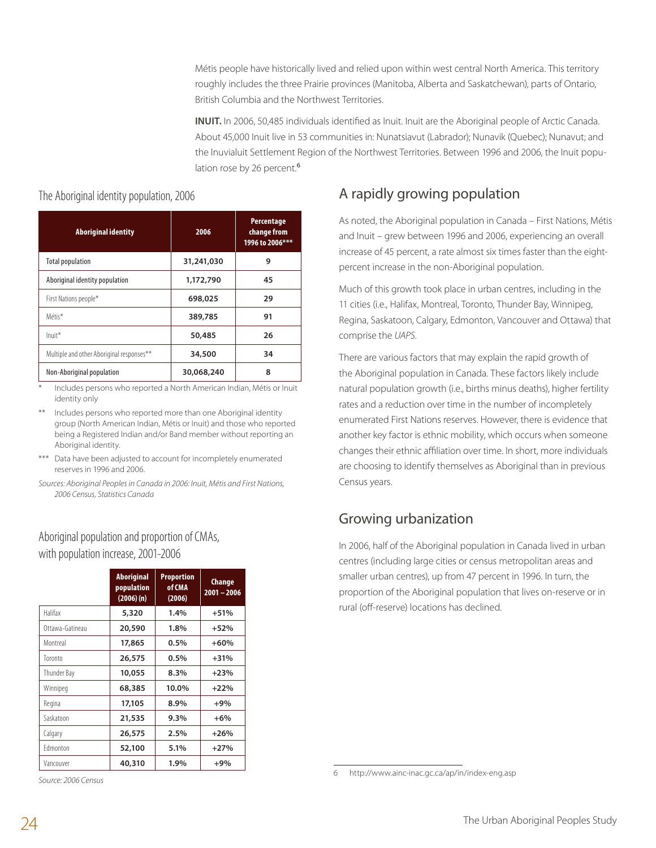Métis people have historically lived and relied upon within west central North America. This territory roughly includes the three Prairie provinces (Manitoba, Alberta and Saskatchewan), parts of Ontario, British Columbia and the Northwest Territories.

**INUIT.** In 2006, 50,485 individuals identified as Inuit. Inuit are the Aboriginal people of Arctic Canada. About 45,000 Inuit live in 53 communities in: Nunatsiavut (Labrador); Nunavik (Quebec); Nunavut; and the Inuvialuit Settlement Region of the Northwest Territories. Between 1996 and 2006, the Inuit population rose by 26 percent.<sup>6</sup>

## **Aboriginal identity 2006 Percentage change from 1996 to 2006\*\*\*** Total population **31,241,030 9**

The Aboriginal identity population, 2006

| Aboriginal identity population            | 1,172,790  | 45 |
|-------------------------------------------|------------|----|
| First Nations people*                     | 698,025    | 29 |
| Métis*                                    | 389,785    | 91 |
| $Init*$                                   | 50,485     | 26 |
| Multiple and other Aboriginal responses** | 34,500     | 34 |
| Non-Aboriginal population                 | 30,068,240 | 8  |

Includes persons who reported a North American Indian, Métis or Inuit identity only

Includes persons who reported more than one Aboriginal identity group (North American Indian, Métis or Inuit) and those who reported being a Registered Indian and/or Band member without reporting an Aboriginal identity.

- \*\*\* Data have been adjusted to account for incompletely enumerated reserves in 1996 and 2006.
- *Sources: Aboriginal Peoples in Canada in 2006: Inuit, Métis and First Nations, 2006 Census, Statistics Canada*

#### Aboriginal population and proportion of CMAs, with population increase, 2001-2006

|                 | <b>Aboriginal</b><br>population<br>$(2006)$ (n) | <b>Proportion</b><br>of CMA<br>(2006) | <b>Change</b><br>$2001 - 2006$ |
|-----------------|-------------------------------------------------|---------------------------------------|--------------------------------|
| Halifax         | 5,320                                           | 1.4%                                  | $+51%$                         |
| Ottawa-Gatineau | 20,590                                          | $1.8\%$                               | $+52%$                         |
| Montreal        | 17,865                                          | $0.5\%$                               | $+60%$                         |
| Toronto         | 26,575                                          | $0.5\%$                               | $+31%$                         |
| Thunder Bay     | 10,055                                          | 8.3%                                  | $+23%$                         |
| Winnipeg        | 68,385                                          | 10.0%                                 | $+22%$                         |
| Regina          | 17,105                                          | 8.9%                                  | $+9%$                          |
| Saskatoon       | 21,535                                          | $9.3\%$                               | $+6%$                          |
| Calgary         | 26,575                                          | 2.5%                                  | $+26%$                         |
| Fdmonton        | 52,100                                          | 5.1%                                  | $+27%$                         |
| Vancouver       | 40,310                                          | 1.9%                                  | $+9%$                          |

*Source: 2006 Census*

# A rapidly growing population

As noted, the Aboriginal population in Canada – First Nations, Métis and Inuit – grew between 1996 and 2006, experiencing an overall increase of 45 percent, a rate almost six times faster than the eightpercent increase in the non-Aboriginal population.

Much of this growth took place in urban centres, including in the 11 cities (i.e., Halifax, Montreal, Toronto, Thunder Bay, Winnipeg, Regina, Saskatoon, Calgary, Edmonton, Vancouver and Ottawa) that comprise the *UAPS*.

There are various factors that may explain the rapid growth of the Aboriginal population in Canada. These factors likely include natural population growth (i.e., births minus deaths), higher fertility rates and a reduction over time in the number of incompletely enumerated First Nations reserves. However, there is evidence that another key factor is ethnic mobility, which occurs when someone changes their ethnic affiliation over time. In short, more individuals are choosing to identify themselves as Aboriginal than in previous Census years.

# Growing urbanization

In 2006, half of the Aboriginal population in Canada lived in urban centres (including large cities or census metropolitan areas and smaller urban centres), up from 47 percent in 1996. In turn, the proportion of the Aboriginal population that lives on-reserve or in rural (off-reserve) locations has declined.

<sup>6</sup> http://www.ainc-inac.gc.ca/ap/in/index-eng.asp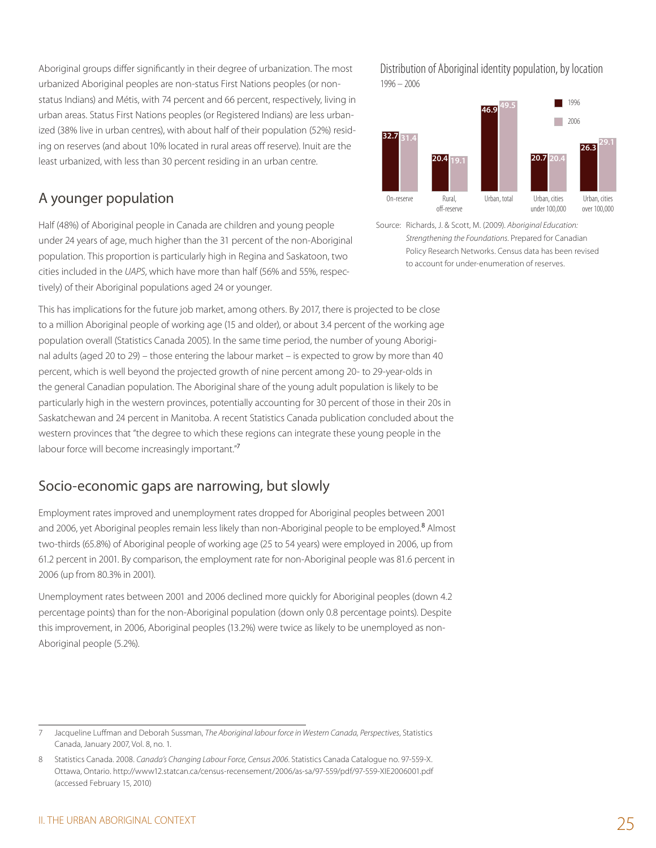Aboriginal groups differ significantly in their degree of urbanization. The most urbanized Aboriginal peoples are non-status First Nations peoples (or nonstatus Indians) and Métis, with 74 percent and 66 percent, respectively, living in urban areas. Status First Nations peoples (or Registered Indians) are less urbanized (38% live in urban centres), with about half of their population (52%) residing on reserves (and about 10% located in rural areas off reserve). Inuit are the least urbanized, with less than 30 percent residing in an urban centre.

## A younger population

Half (48%) of Aboriginal people in Canada are children and young people under 24 years of age, much higher than the 31 percent of the non-Aboriginal population. This proportion is particularly high in Regina and Saskatoon, two cities included in the *UAPS*, which have more than half (56% and 55%, respectively) of their Aboriginal populations aged 24 or younger.

This has implications for the future job market, among others. By 2017, there is projected to be close to a million Aboriginal people of working age (15 and older), or about 3.4 percent of the working age population overall (Statistics Canada 2005). In the same time period, the number of young Aboriginal adults (aged 20 to 29) – those entering the labour market – is expected to grow by more than 40 percent, which is well beyond the projected growth of nine percent among 20- to 29-year-olds in the general Canadian population. The Aboriginal share of the young adult population is likely to be particularly high in the western provinces, potentially accounting for 30 percent of those in their 20s in Saskatchewan and 24 percent in Manitoba. A recent Statistics Canada publication concluded about the western provinces that "the degree to which these regions can integrate these young people in the labour force will become increasingly important."7

#### Socio-economic gaps are narrowing, but slowly

Employment rates improved and unemployment rates dropped for Aboriginal peoples between 2001 and 2006, yet Aboriginal peoples remain less likely than non-Aboriginal people to be employed.<sup>8</sup> Almost two-thirds (65.8%) of Aboriginal people of working age (25 to 54 years) were employed in 2006, up from 61.2 percent in 2001. By comparison, the employment rate for non-Aboriginal people was 81.6 percent in 2006 (up from 80.3% in 2001).

Unemployment rates between 2001 and 2006 declined more quickly for Aboriginal peoples (down 4.2 percentage points) than for the non-Aboriginal population (down only 0.8 percentage points). Despite this improvement, in 2006, Aboriginal peoples (13.2%) were twice as likely to be unemployed as non-Aboriginal people (5.2%).

Distribution of Aboriginal identity population, by location 1996 – 2006



Source: Richards, J. & Scott, M. (2009). *Aboriginal Education: Strengthening the Foundations*. Prepared for Canadian Policy Research Networks. Census data has been revised to account for under-enumeration of reserves.

<sup>7</sup> Jacqueline Luffman and Deborah Sussman, *The Aboriginal labour force in Western Canada, Perspectives*, Statistics Canada, January 2007, Vol. 8, no. 1.

<sup>8</sup> Statistics Canada. 2008. *Canada's Changing Labour Force, Census 2006*. Statistics Canada Catalogue no. 97-559-X. Ottawa, Ontario. http://www12.statcan.ca/census-recensement/2006/as-sa/97-559/pdf/97-559-XIE2006001.pdf (accessed February 15, 2010)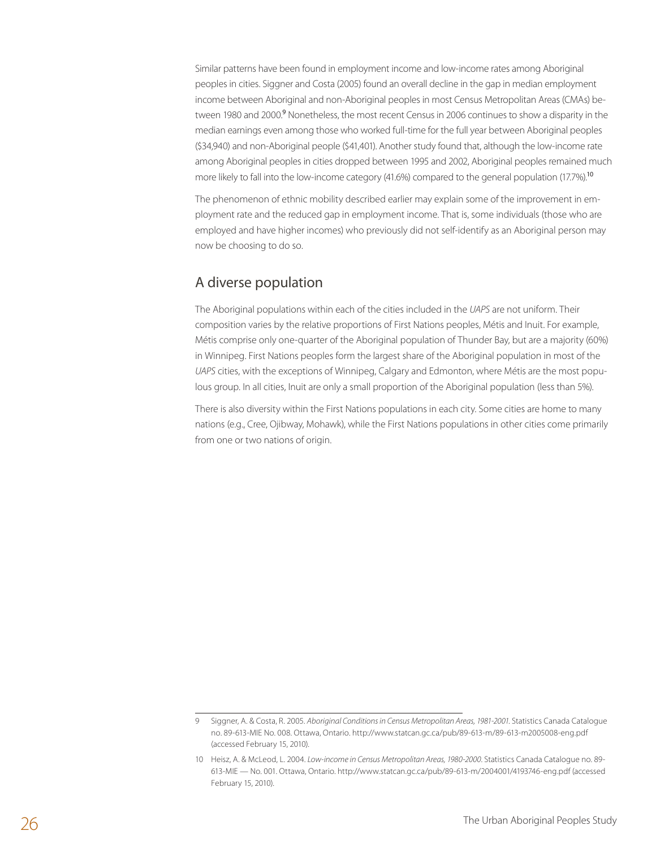Similar patterns have been found in employment income and low-income rates among Aboriginal peoples in cities. Siggner and Costa (2005) found an overall decline in the gap in median employment income between Aboriginal and non-Aboriginal peoples in most Census Metropolitan Areas (CMAs) between 1980 and 2000.<sup>9</sup> Nonetheless, the most recent Census in 2006 continues to show a disparity in the median earnings even among those who worked full-time for the full year between Aboriginal peoples (\$34,940) and non-Aboriginal people (\$41,401). Another study found that, although the low-income rate among Aboriginal peoples in cities dropped between 1995 and 2002, Aboriginal peoples remained much more likely to fall into the low-income category (41.6%) compared to the general population (17.7%).<sup>10</sup>

The phenomenon of ethnic mobility described earlier may explain some of the improvement in employment rate and the reduced gap in employment income. That is, some individuals (those who are employed and have higher incomes) who previously did not self-identify as an Aboriginal person may now be choosing to do so.

#### A diverse population

The Aboriginal populations within each of the cities included in the *UAPS* are not uniform. Their composition varies by the relative proportions of First Nations peoples, Métis and Inuit. For example, Métis comprise only one-quarter of the Aboriginal population of Thunder Bay, but are a majority (60%) in Winnipeg. First Nations peoples form the largest share of the Aboriginal population in most of the *UAPS* cities, with the exceptions of Winnipeg, Calgary and Edmonton, where Métis are the most populous group. In all cities, Inuit are only a small proportion of the Aboriginal population (less than 5%).

There is also diversity within the First Nations populations in each city. Some cities are home to many nations (e.g., Cree, Ojibway, Mohawk), while the First Nations populations in other cities come primarily from one or two nations of origin.

<sup>9</sup> Siggner, A. & Costa, R. 2005. *Aboriginal Conditions in Census Metropolitan Areas, 1981-2001*. Statistics Canada Catalogue no. 89-613-MIE No. 008. Ottawa, Ontario. http://www.statcan.gc.ca/pub/89-613-m/89-613-m2005008-eng.pdf (accessed February 15, 2010).

<sup>10</sup> Heisz, A. & McLeod, L. 2004. *Low-income in Census Metropolitan Areas, 1980-2000*. Statistics Canada Catalogue no. 89- 613-MIE — No. 001. Ottawa, Ontario. http://www.statcan.gc.ca/pub/89-613-m/2004001/4193746-eng.pdf (accessed February 15, 2010).